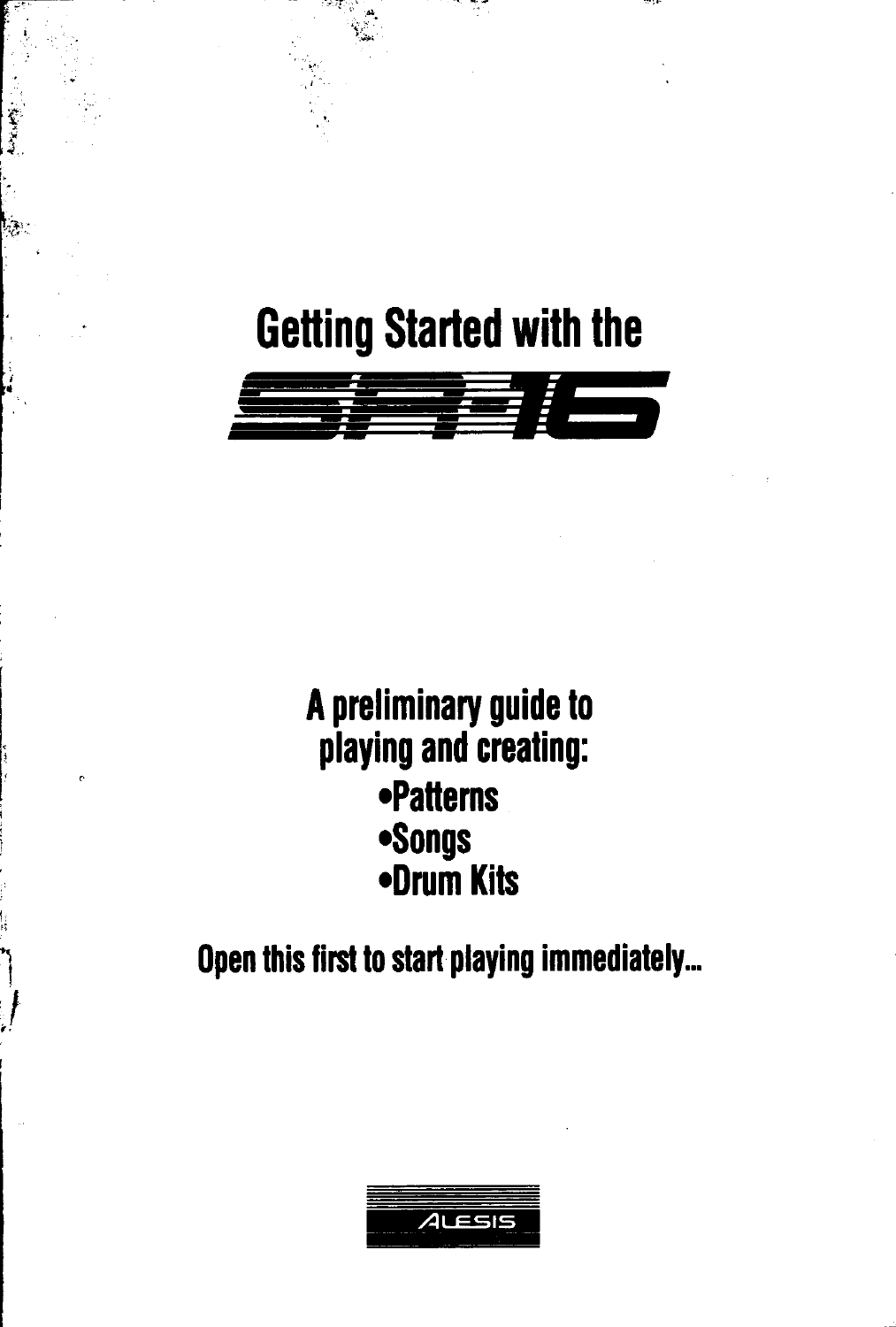# **Getting Started with the**

يتوقيا



# A preliminary guide to playing and creating: **•Patterns •Songs** •Drum Kits

Open this first to start playing immediately...

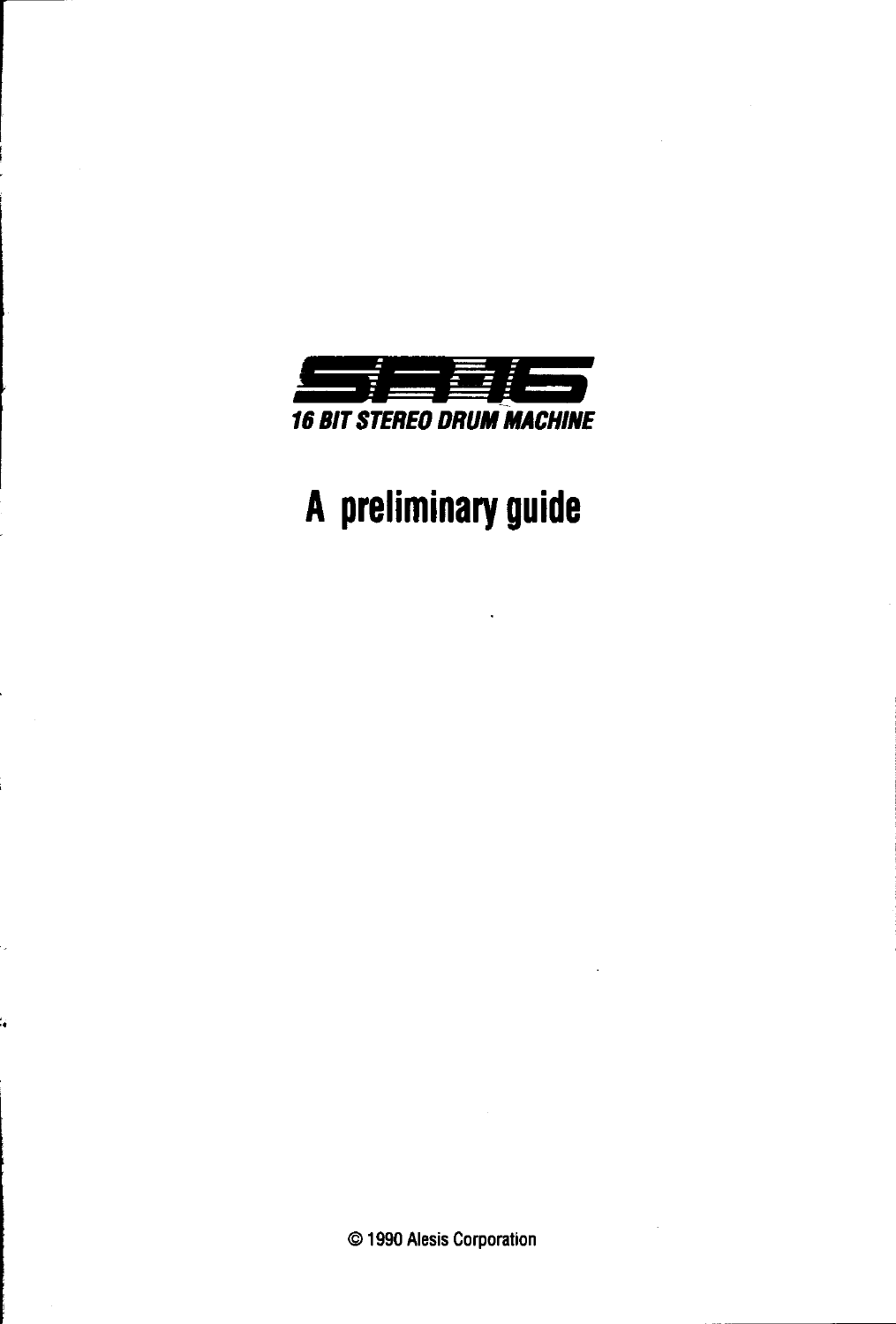

# A preliminary guide

© 1990 Alesis Corporation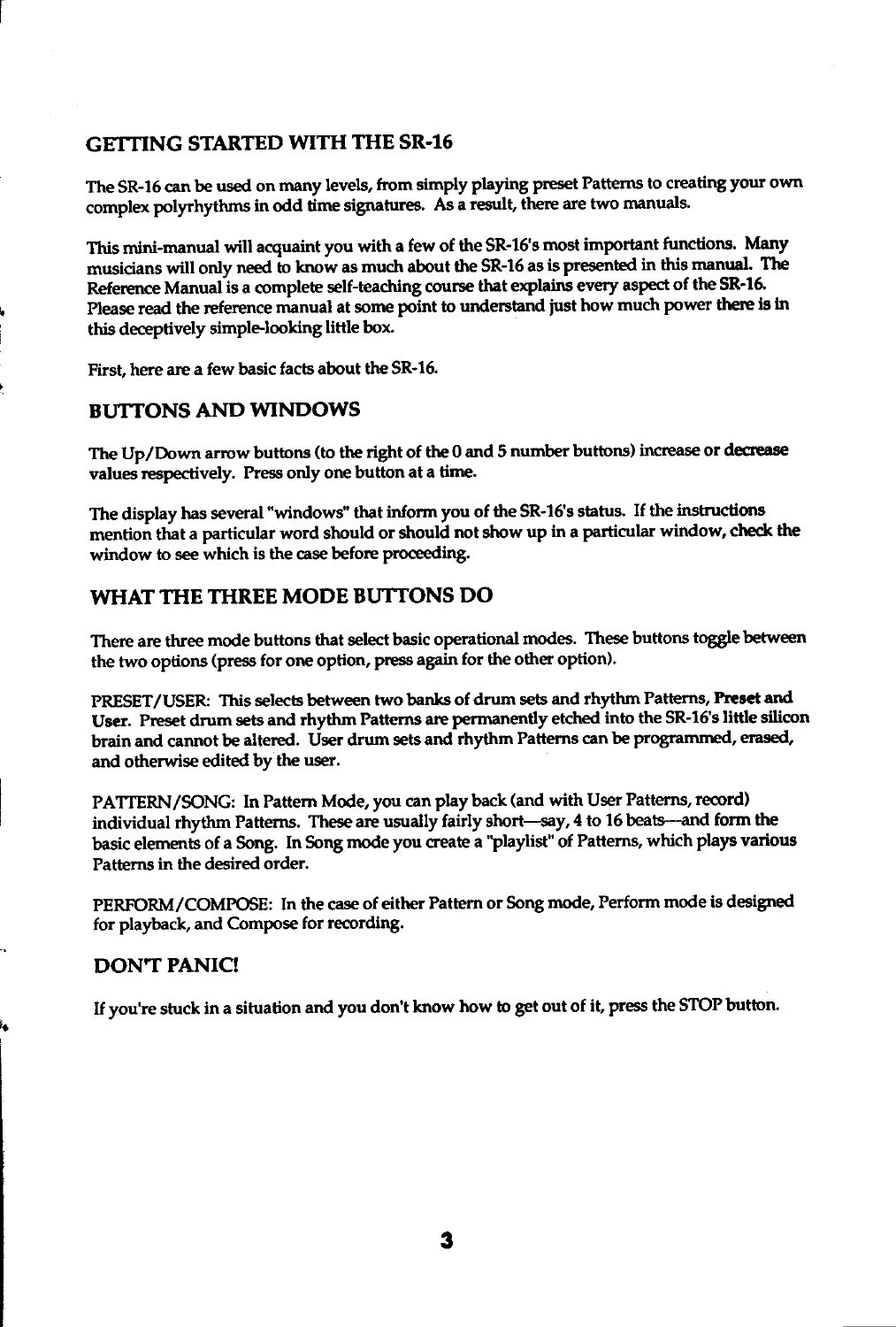#### GETTING STARTED WITH THE SR-16

The SR-16 can be used on many levels, from simply playing preset Patterns to creating your own complex polyrhythms in odd time signatures. As a result, there are two manuals.

This mini-manual will acquaint you with a few of the SR-16 s most important functions. Many musicians will only need to know as much about the SR-16 as is presented in this manual. The Reference Manual is a complete self-teaching course that explains every aspect of the SR-16. Please read the reference manual at some point to understand just how much power there is in this deceptively simple-looking little box.

First, here are a few basic facts about the SR-16.

#### BUTTONS AND WINDOWS

The Up/Down arrow buttons (to the right of the 0 and 5 number buttons) increase or decrease values respectively. Press only one button at a time.

The display has several "windows" that inform you of the SR-16's status. If the instructions mmtion that a particular word should or should not show up in a particular window, check the window to see which is the case before proceeding.

#### WHAT THE THREE MODE BUTTONS DO

There are three mode buttons that select basic operational modes. These buttons toggle between the two options (press for one option, press again for the other option).

PRESET/USER: This selects between two banks of drum sets and rhythm Patterns, Preset and User. Preset drum sets and rhythm Patterns are permanently etched into the SR-16's little silicon brain and cannot be altered. User drum sets and rhythm Patterns can be programmed, erased, and otherwise edited by the user.

PATTERN/SONG: In Pattern Mode, you can play back (and with User Patterns, record) individual rhythm Patterns. These are usually fairly short-say, 4 to 16 beats--- and form the basic elements of a Song. In Song mode you create a "playlist" of Patterns, which plays various Patterns in the desired order.

PERFORM/COMPOSE: In the case of either Pattern or Song mode, Perform mode is designed for playback, and Compose for recording.

#### DON'T PANIC!

If you're stuck in a situation and you don't know how to get out of it, press the STOP button.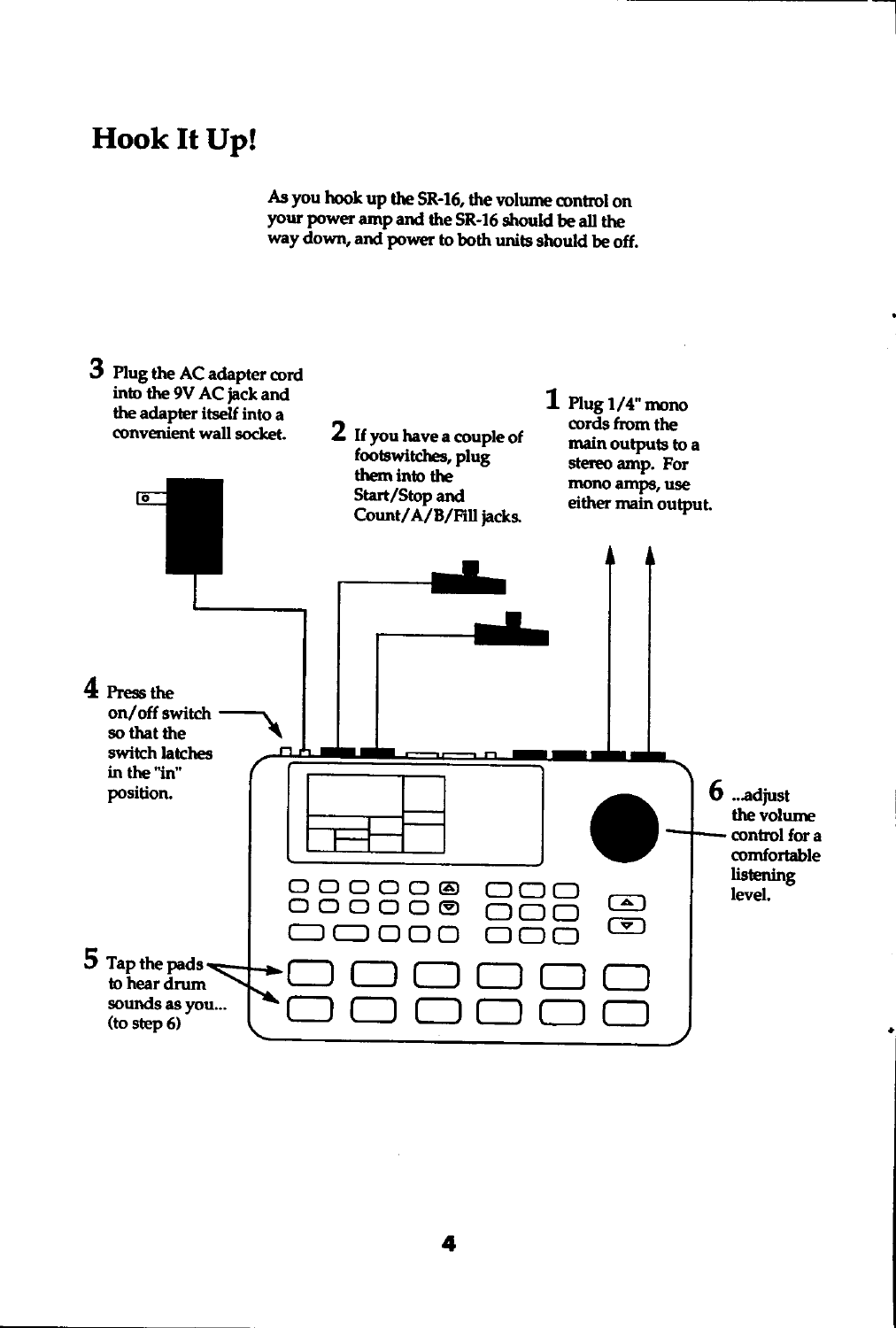### Hook It Up!

As you hook up the SR-16, the volume control on your power amp and the SR-16 should be all the way down, and power to both units should be off.

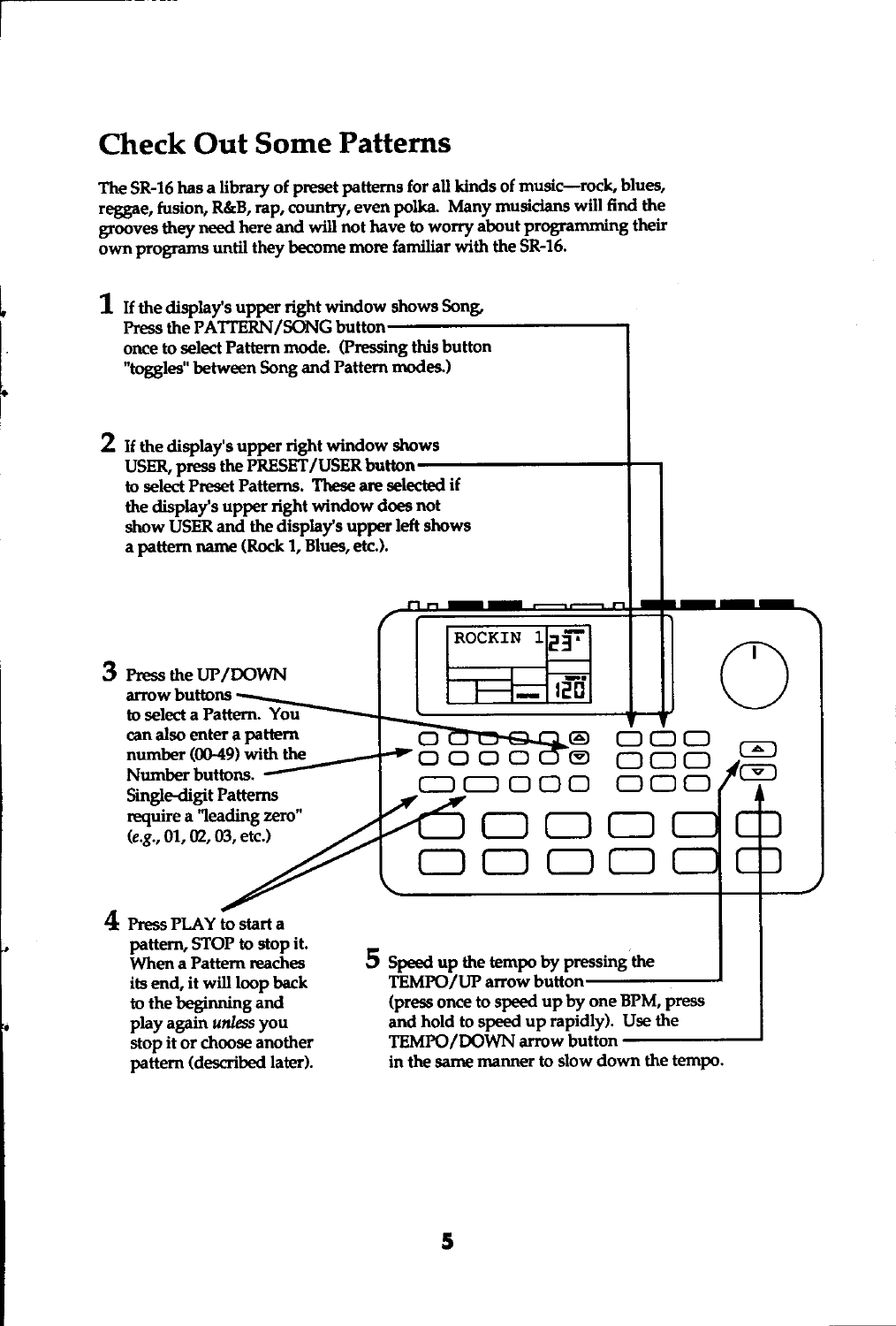### **Check Out Some Patterns**

The SR-16 has a library of preset patterns for all kinds of music-rock, blues, reggae, fusion, R&B, rap, country, even polka. Many musicians will find the grooves they need here and will not have to worry about programming their own programs until they become more familiar with the SR-16.

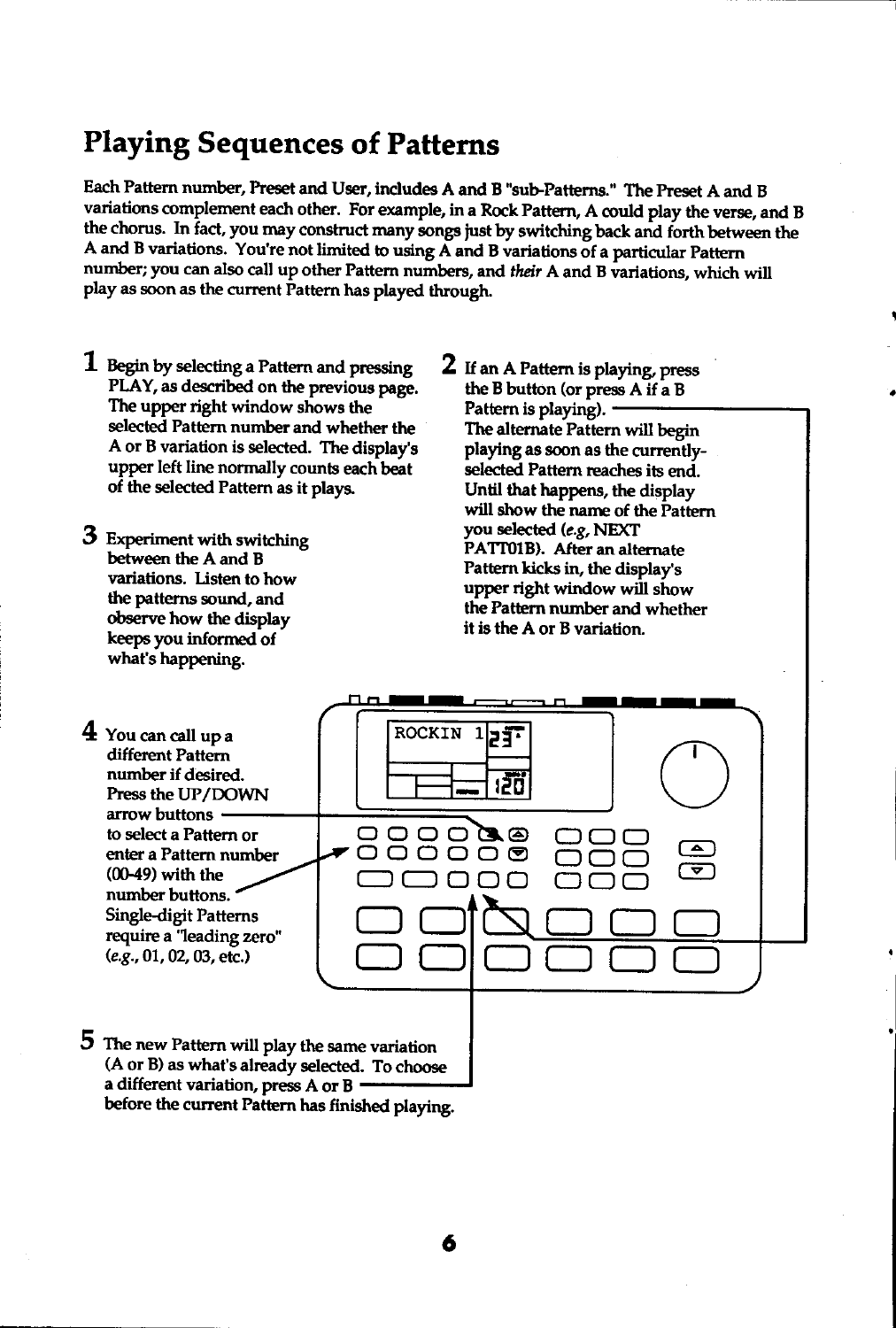### Playing Sequences of Patterns

Each Pattern number, Preset and User, includes A and B "sub-Patterns." The Preset A and B variations complement each other. For example, in a Rock Pattern, A could play the verse, and B the chorus. In fact, you may construct many songs just by switching back and forth between the A and B variations. You're not limited to using  $\overrightarrow{A}$  and B variations of a particular Pattern number; you can also call up other Pattern numbers, and their A and B variations, which will play as soon as the current Pattern has played through.

- $1$  Begin by selecting a Pattern and pressing PLAY, as described on the previous page. The upper right window shows the selected Pattern number and whether the A or B variation is selected. The display's upper left line normally counts each beat of the selected Pattern as it plays.
- 3 Experiment with switching between the A and B variations. Listen to how the patterns sourd, and observe how the display keeps you inforned of what's happening.
- 2 If an A Pattern is playing, press the B button (or press  $A$  if a B Pattern is playing). The alternate Pattem will begin playing as soon as the currentlyselected Pattern reaches its end. Until that happens, the display will show the narne of the Pattern you selected (e.g, NEXT PATTOIB). After an alternate Pattern kicks in, the display's upper right window will show the Pattern number and whether it is the A or B variation.

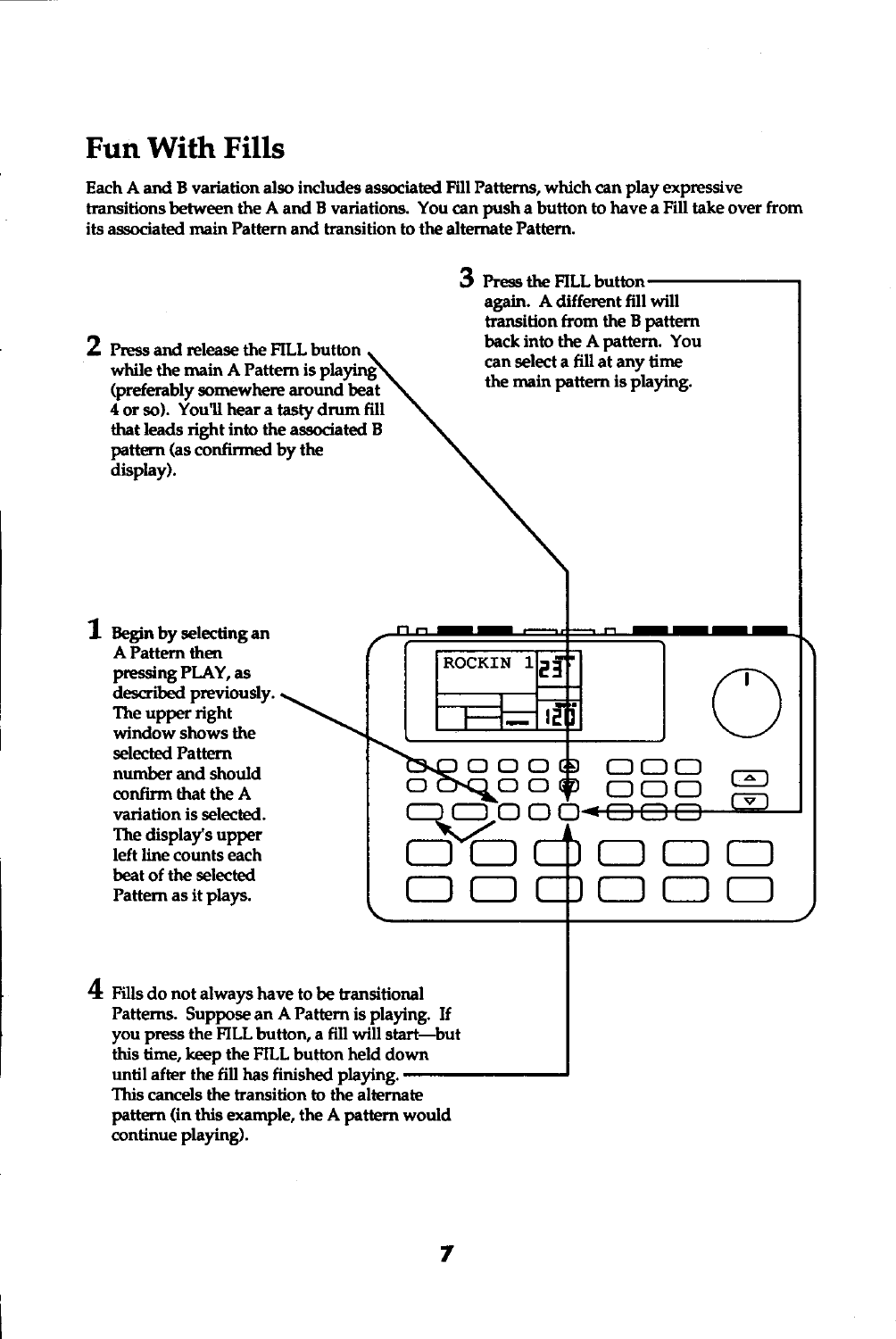#### Fun With Fills

Each A and B variation also includes associated Fill Patterns, which can play expressive transitions between the A and B variations. You can push a button to have a Fill take over from its associated main Pattern and transition to the alternate Pattern.

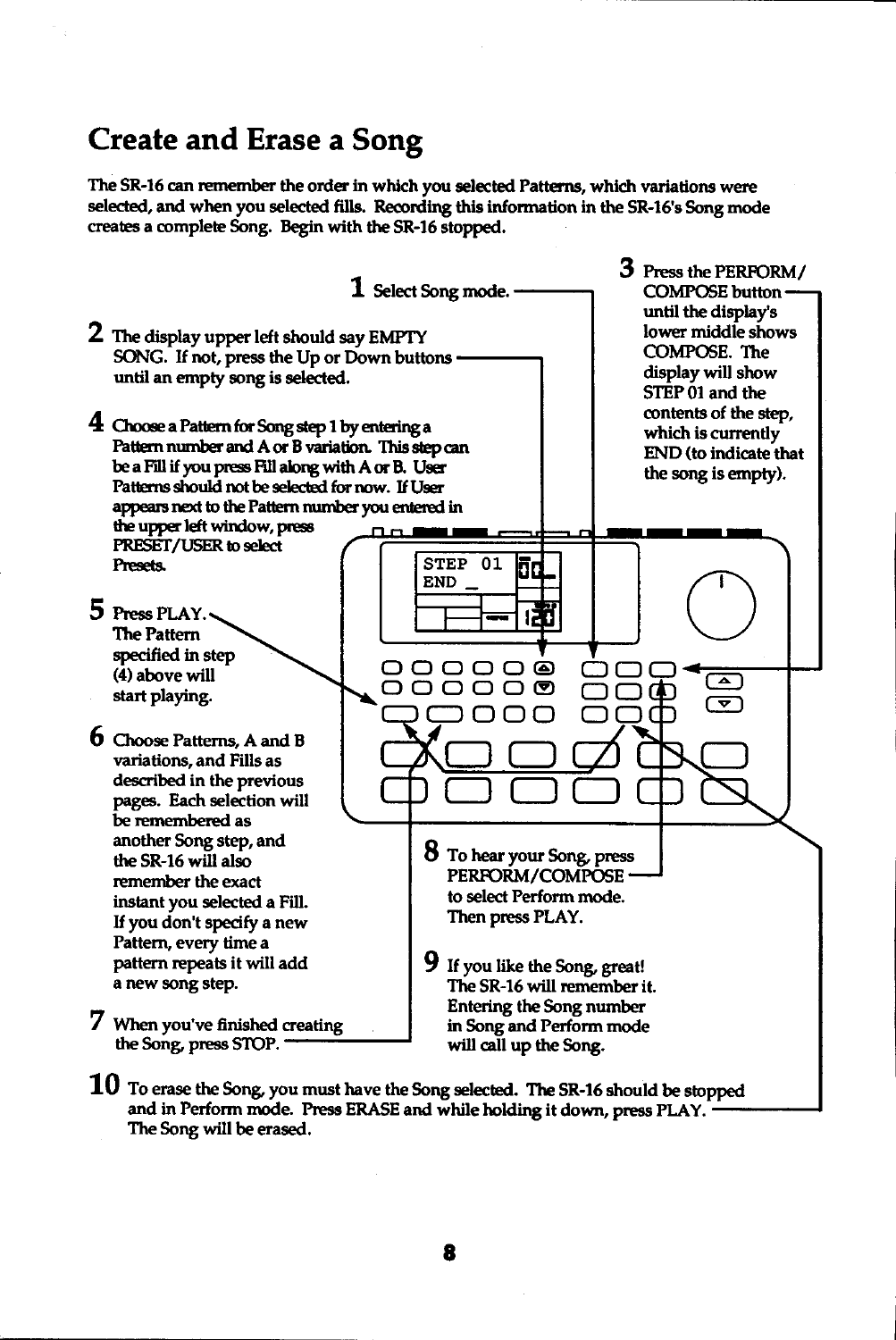#### **Create and Erase a Song**

The SR-16 can remember the order in which you selected Patterns, which variations were selected, and when you selected fills. Recording this information in the SR-16's Song mode creates a complete Song. Begin with the SR-16 stopped.



 ${\bf 10}$  To erase the Song, you must have the Song selected. The SR-16 should be stopped and in Perform mode. Press ERASE and while holding it down, press PLAY. The Song will be erased.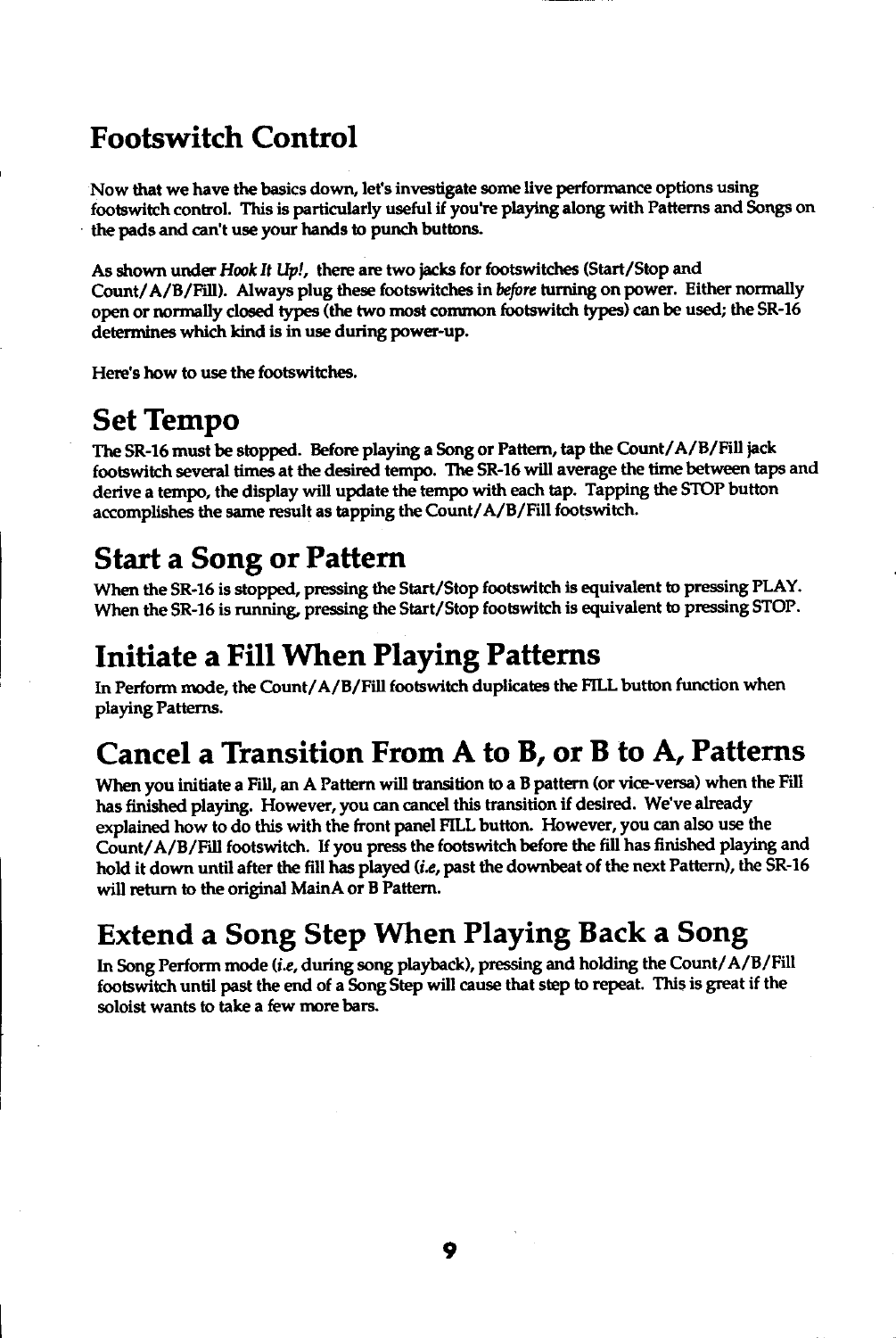## Footswitch Control

Now that we have the basics down, let's investigate some live performance options using footswitch control. This is particularly useful if you're playing along with Patterns and Songs on the pads and can't use your hands to punch buttons.

As shown under Hook It Up!, there are two jacks for footswitches (Start/Stop and Count/A/B/Fill). Always plug these footswitches in before turning on power. Either normally open or normally closed types (the two most common footswitch types) can be used; the SR-16 determines which kind is in use during power-up.

Here's how to use the footswitches.

### Set Tempo

The SR-16 must be stopped. Before playing a Song or Pattern, tap the Count/A/B/Fill jack footswitch several times at the desired tempo. The SR-16 will average the time between taps and derive a tempo, the display will update the tempo with each tap. Tapping the STOP button accomplishes the same result as tapping the Count/A/B/Fill footswitch.

# Start a Song or Pattern

When the SR-16 is stopped, pressing the Start/Stop footswitch is equivalent to pressing PLAY. When the SR-16 is running, pressing the Start/Stop footswitch is equivalent to pressing STOP.

## Initiate a Fill When Playing Patterns

In Perform mode, the Count/A/B/Fill footswitch duplicates the FILL button function when playing Patterns.

# Cancel a Transition From A to B, or B to A, Patterns

When you initiate a Fill, an A Pattern will transition to a B pattern (or vice-versa) when the Fill has finished playing. However, you can cancel this transition if desired. We've already explained how to do this with the front panel FILL butbn. However, you can also use the Count/A/B/Fill footswitch. If you press the footswitch before the fill has finished playing and hold it down until after the fill has played  $(i.e.,$  past the downbeat of the next Pattern), the SR-16 will return to the original MainA or B Pattern.

## Extend a Song Step When Playing Back a Song

In Song Perform mode (i.e, during song playback), pressing and holding the Count/A/B/Fill footswitch until past the end of a Song Step will cause that step to repeat. This is great if the soloist wants to take a few more bars.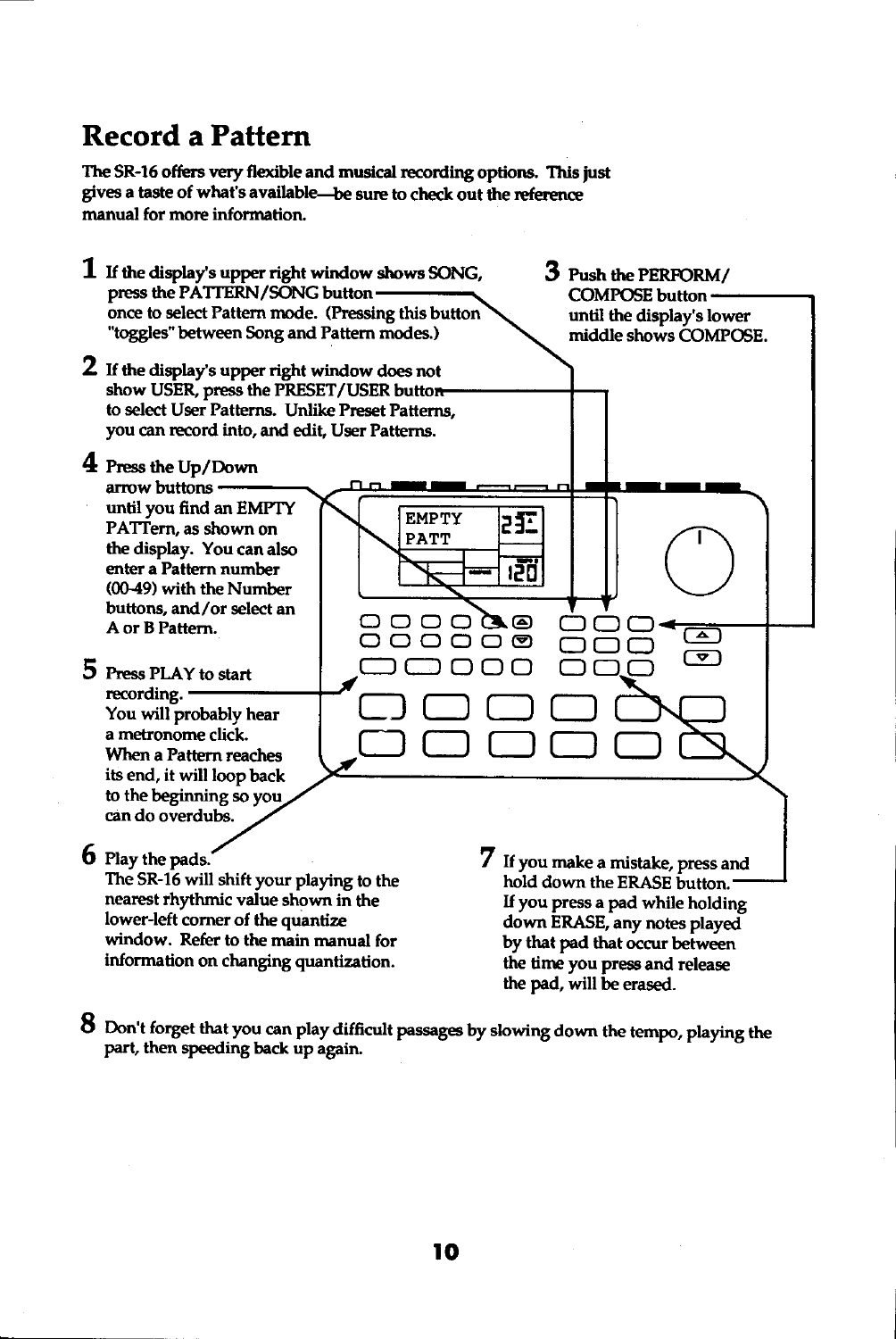## **Record a Pattern**

The SR-16 offers very flexible and musical recording options. This just gives a taste of what's available-be sure to check out the reference manual for more information.



8 Don't forget that you can play difficult passages by slowing down the tempo, playing the part, then speeding back up again.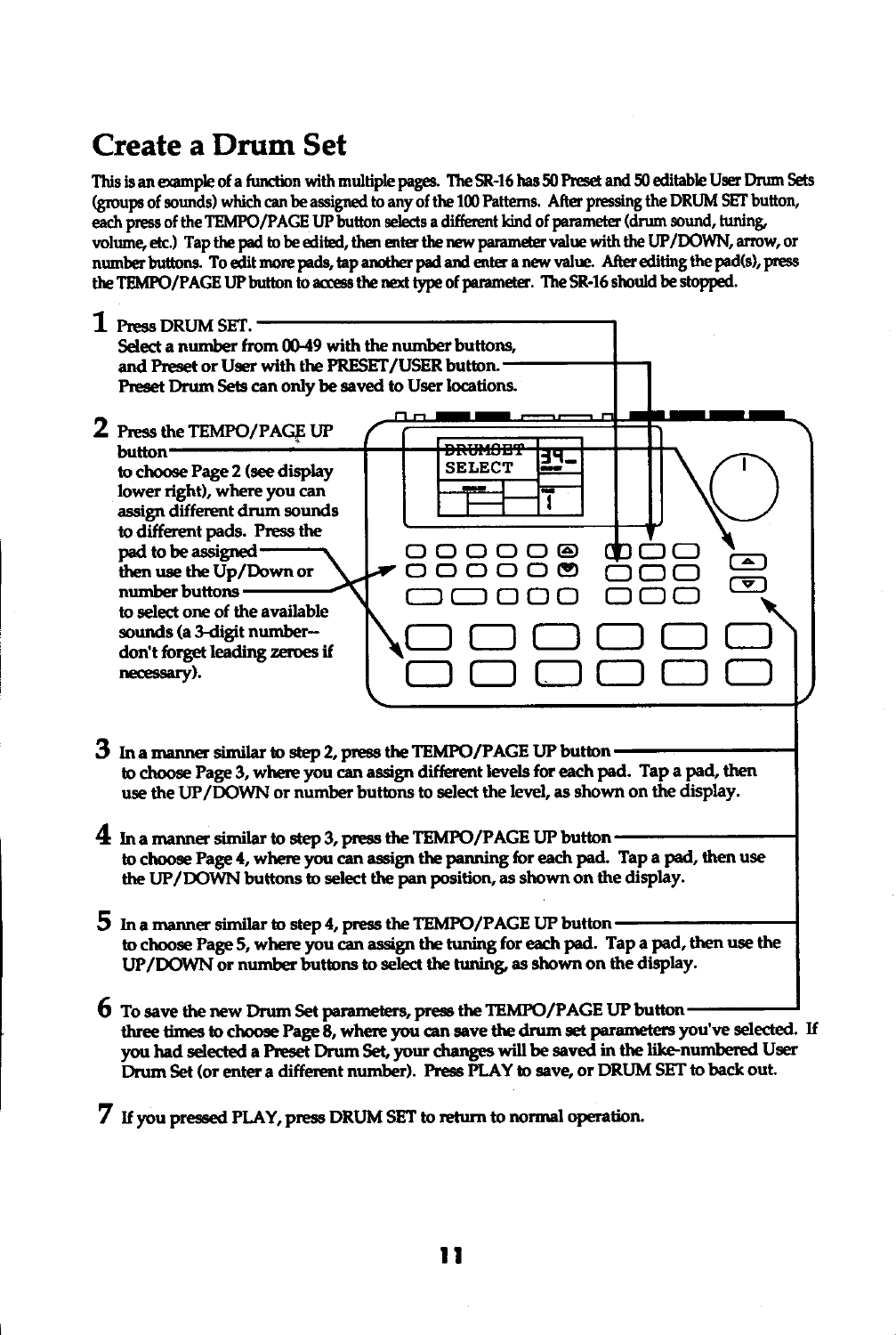# **Create a Drum Set**

This is an example of a function with multiple pages. The SR-16 has 50 Preset and 50 editable User Drum Sets (groups of sounds) which can be assigned to any of the 100 Patterns. After pressing the DRUM SET button, each press of the TEMPO/PAGE UP button selects a different kind of parameter (drum sound, tuning, volume, etc.) Tap the pad to be edited, then enter the new parameter value with the UP/DOWN, arrow, or number buttons. To edit more pads, tap another pad and enter a new value. After editing the pad(s), press the TEMPO/PAGE UP button to access the next type of parameter. The SR-16 should be stopped.

| Press DRUM SET.<br>Select a number from 00-49 with the number buttons.<br>and Preset or User with the PRESET/USER button.<br>Preset Drum Sets can only be saved to User locations.                                                                                                                                                                        |                      |                       |
|-----------------------------------------------------------------------------------------------------------------------------------------------------------------------------------------------------------------------------------------------------------------------------------------------------------------------------------------------------------|----------------------|-----------------------|
| 2 Press the TEMPO/PAGE UP<br>button-<br>to choose Page 2 (see display<br>lower right), where you can<br>assign different drum sounds<br>to different pads. Press the<br>pad to be assigned-<br>then use the Up/Down or<br>number buttons<br>to select one of the available<br>sounds (a 3-digit number--<br>don't forget leading zeroes if<br>necessary). | <b>SELECT</b><br>äve | $\blacktriangle$<br>U |

- $3$  In a manner similar to step 2, press the TEMPO/PAGE UP button to choose Page 3, where you can assign different levels for each pad. Tap a pad, then use the UP/DOWN or number buttons to select the level, as shown on the display.
- $4$  In a manner similar to step 3, press the TEMPO/PAGE UP button to choose Page 4, where you can assign the panning for each pad. Tap a pad, then use the UP/DOWN buttons to select the pan position, as shown on the display.
- 5 In a manner similar to step 4, press the TEMPO/PAGE UP button to choose Page 5, where you can assign the tuning for each pad. Tap a pad, then use the UP/DOWN or number buttons to select the tuning, as shown on the display.
- **b** To save the new Drum Set parameters, press the TEMPO/PAGE UP button three times to choose Page 8, where you can save the drum set parameters you've selected. If you had selected a Preset Drum Set, your changes will be saved in the like-numbered User Drum Set (or enter a different number). Press PLAY to save, or DRUM SET to back out.
- 7 If you pressed PLAY, press DRUM SET to return to normal operation.